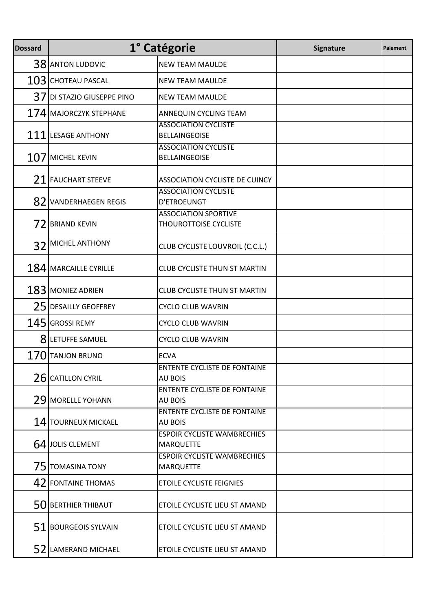| <b>Dossard</b> |                            | 1° Catégorie                                                | Signature | Paiement |
|----------------|----------------------------|-------------------------------------------------------------|-----------|----------|
|                | 38 ANTON LUDOVIC           | <b>NEW TEAM MAULDE</b>                                      |           |          |
|                | $103$ CHOTEAU PASCAL       | <b>NEW TEAM MAULDE</b>                                      |           |          |
|                | 37 DI STAZIO GIUSEPPE PINO | <b>NEW TEAM MAULDE</b>                                      |           |          |
|                | 174 MAJORCZYK STEPHANE     | ANNEQUIN CYCLING TEAM                                       |           |          |
|                | 111 LESAGE ANTHONY         | <b>ASSOCIATION CYCLISTE</b><br><b>BELLAINGEOISE</b>         |           |          |
|                | $107$ MICHEL KEVIN         | <b>ASSOCIATION CYCLISTE</b><br><b>BELLAINGEOISE</b>         |           |          |
|                | 21 FAUCHART STEEVE         | <b>ASSOCIATION CYCLISTE DE CUINCY</b>                       |           |          |
| 82             | <b>VANDERHAEGEN REGIS</b>  | <b>ASSOCIATION CYCLISTE</b><br>D'ETROEUNGT                  |           |          |
| 72             | <b>BRIAND KEVIN</b>        | <b>ASSOCIATION SPORTIVE</b><br><b>THOUROTTOISE CYCLISTE</b> |           |          |
| 32             | MICHEL ANTHONY             | CLUB CYCLISTE LOUVROIL (C.C.L.)                             |           |          |
|                | 184 MARCAILLE CYRILLE      | <b>CLUB CYCLISTE THUN ST MARTIN</b>                         |           |          |
|                | $183$ MONIEZ ADRIEN        | <b>CLUB CYCLISTE THUN ST MARTIN</b>                         |           |          |
|                | 25 DESAILLY GEOFFREY       | <b>CYCLO CLUB WAVRIN</b>                                    |           |          |
|                | $145$ GROSSI REMY          | <b>CYCLO CLUB WAVRIN</b>                                    |           |          |
|                | 8 LETUFFE SAMUEL           | <b>CYCLO CLUB WAVRIN</b>                                    |           |          |
| 170            | <b>TANJON BRUNO</b>        | <b>ECVA</b>                                                 |           |          |
|                | 26 CATILLON CYRIL          | <b>ENTENTE CYCLISTE DE FONTAINE</b><br><b>AU BOIS</b>       |           |          |
|                | 29 MORELLE YOHANN          | <b>ENTENTE CYCLISTE DE FONTAINE</b><br><b>AU BOIS</b>       |           |          |
|                | 14 TOURNEUX MICKAEL        | <b>ENTENTE CYCLISTE DE FONTAINE</b><br><b>AU BOIS</b>       |           |          |
|                | 64 JOLIS CLEMENT           | <b>ESPOIR CYCLISTE WAMBRECHIES</b><br><b>MARQUETTE</b>      |           |          |
|                | 75 TOMASINA TONY           | <b>ESPOIR CYCLISTE WAMBRECHIES</b><br><b>MARQUETTE</b>      |           |          |
|                | 42 FONTAINE THOMAS         | ETOILE CYCLISTE FEIGNIES                                    |           |          |
|                | 50 BERTHIER THIBAUT        | ETOILE CYCLISTE LIEU ST AMAND                               |           |          |
|                | 51 BOURGEOIS SYLVAIN       | ETOILE CYCLISTE LIEU ST AMAND                               |           |          |
|                | 52 LAMERAND MICHAEL        | ETOILE CYCLISTE LIEU ST AMAND                               |           |          |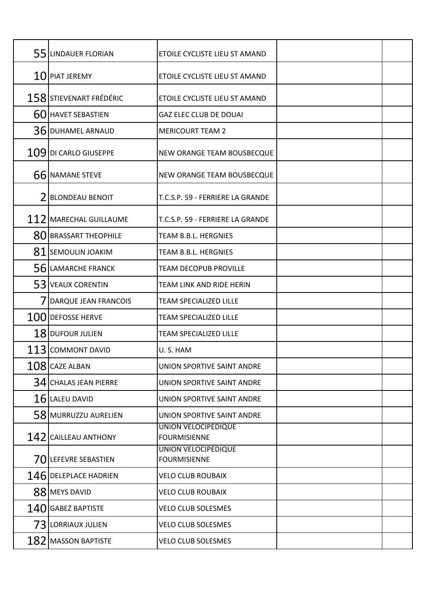| 55 LINDAUER FLORIAN         | ETOILE CYCLISTE LIEU ST AMAND                     |  |
|-----------------------------|---------------------------------------------------|--|
| $10$ PIAT JEREMY            | ETOILE CYCLISTE LIEU ST AMAND                     |  |
| 158 STIEVENART FRÉDÉRIC     | ETOILE CYCLISTE LIEU ST AMAND                     |  |
| 60 HAVET SEBASTIEN          | <b>GAZ ELEC CLUB DE DOUAI</b>                     |  |
| 36 DUHAMEL ARNAUD           | <b>MERICOURT TEAM 2</b>                           |  |
| 109 DI CARLO GIUSEPPE       | <b>NEW ORANGE TEAM BOUSBECQUE</b>                 |  |
| 66 NAMANE STEVE             | NEW ORANGE TEAM BOUSBECQUE                        |  |
| <b>BLONDEAU BENOIT</b>      | T.C.S.P. 59 - FERRIERE LA GRANDE                  |  |
| 112 MARECHAL GUILLAUME      | T.C.S.P. 59 - FERRIERE LA GRANDE                  |  |
| 80 BRASSART THEOPHILE       | TEAM B.B.L. HERGNIES                              |  |
| 81 SEMOULIN JOAKIM          | TEAM B.B.L. HERGNIES                              |  |
| 56 LAMARCHE FRANCK          | <b>TEAM DECOPUB PROVILLE</b>                      |  |
| 53 VEAUX CORENTIN           | TEAM LINK AND RIDE HERIN                          |  |
| <b>DARQUE JEAN FRANCOIS</b> | <b>TEAM SPECIALIZED LILLE</b>                     |  |
| 100 DEFOSSE HERVE           | <b>TEAM SPECIALIZED LILLE</b>                     |  |
| 18 DUFOUR JULIEN            | <b>TEAM SPECIALIZED LILLE</b>                     |  |
| 113 COMMONT DAVID           | U.S. HAM                                          |  |
| $108$ CAZE ALBAN            | UNION SPORTIVE SAINT ANDRE                        |  |
| 34 CHALAS JEAN PIERRE       | UNION SPORTIVE SAINT ANDRE                        |  |
| $16$ LALEU DAVID            | UNION SPORTIVE SAINT ANDRE                        |  |
| 58 MURRUZZU AURELIEN        | UNION SPORTIVE SAINT ANDRE                        |  |
| 142 CAILLEAU ANTHONY        | <b>UNION VELOCIPEDIQUE</b><br><b>FOURMISIENNE</b> |  |
| 70 LEFEVRE SEBASTIEN        | UNION VELOCIPEDIQUE<br><b>FOURMISIENNE</b>        |  |
| 146 DELEPLACE HADRIEN       | <b>VELO CLUB ROUBAIX</b>                          |  |
| 88 MEYS DAVID               | <b>VELO CLUB ROUBAIX</b>                          |  |
| $140$ GABEZ BAPTISTE        | <b>VELO CLUB SOLESMES</b>                         |  |
| 73 LORRIAUX JULIEN          | <b>VELO CLUB SOLESMES</b>                         |  |
| $182$ MASSON BAPTISTE       | <b>VELO CLUB SOLESMES</b>                         |  |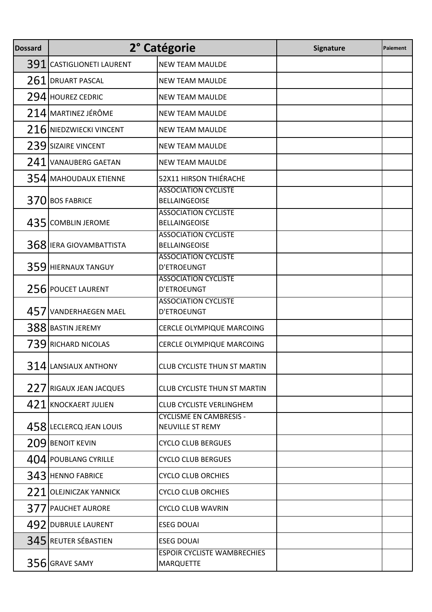| <b>Dossard</b> |                              | 2° Catégorie                                           | Signature | Paiement |
|----------------|------------------------------|--------------------------------------------------------|-----------|----------|
| 391            | <b>CASTIGLIONETI LAURENT</b> | <b>NEW TEAM MAULDE</b>                                 |           |          |
|                | 261 DRUART PASCAL            | <b>NEW TEAM MAULDE</b>                                 |           |          |
|                | 294 HOUREZ CEDRIC            | <b>NEW TEAM MAULDE</b>                                 |           |          |
|                | 214 MARTINEZ JÉRÔME          | <b>NEW TEAM MAULDE</b>                                 |           |          |
|                | 216 NIEDZWIECKI VINCENT      | <b>NEW TEAM MAULDE</b>                                 |           |          |
|                | 239 SIZAIRE VINCENT          | <b>NEW TEAM MAULDE</b>                                 |           |          |
| 241            | <b>VANAUBERG GAETAN</b>      | <b>NEW TEAM MAULDE</b>                                 |           |          |
|                | 354 MAHOUDAUX ETIENNE        | 52X11 HIRSON THIÉRACHE                                 |           |          |
|                | 370 BOS FABRICE              | <b>ASSOCIATION CYCLISTE</b><br><b>BELLAINGEOISE</b>    |           |          |
| 435I           | <b>COMBLIN JEROME</b>        | <b>ASSOCIATION CYCLISTE</b><br><b>BELLAINGEOISE</b>    |           |          |
|                | 368 IERA GIOVAMBATTISTA      | <b>ASSOCIATION CYCLISTE</b><br><b>BELLAINGEOISE</b>    |           |          |
| 359            | <b>HIERNAUX TANGUY</b>       | <b>ASSOCIATION CYCLISTE</b><br>D'ETROEUNGT             |           |          |
| 256            | <b>POUCET LAURENT</b>        | <b>ASSOCIATION CYCLISTE</b><br>D'ETROEUNGT             |           |          |
| 4571           | <b>VANDERHAEGEN MAEL</b>     | <b>ASSOCIATION CYCLISTE</b><br>D'ETROEUNGT             |           |          |
|                | 388 BASTIN JEREMY            | CERCLE OLYMPIQUE MARCOING                              |           |          |
|                | 739 RICHARD NICOLAS          | CERCLE OLYMPIQUE MARCOING                              |           |          |
|                | 314 LANSIAUX ANTHONY         | <b>CLUB CYCLISTE THUN ST MARTIN</b>                    |           |          |
|                | 227 RIGAUX JEAN JACQUES      | <b>CLUB CYCLISTE THUN ST MARTIN</b>                    |           |          |
|                | 421 KNOCKAERT JULIEN         | <b>CLUB CYCLISTE VERLINGHEM</b>                        |           |          |
|                | 458 LECLERCQ JEAN LOUIS      | <b>CYCLISME EN CAMBRESIS -</b><br>NEUVILLE ST REMY     |           |          |
|                | 209 BENOIT KEVIN             | <b>CYCLO CLUB BERGUES</b>                              |           |          |
|                | 404 POUBLANG CYRILLE         | <b>CYCLO CLUB BERGUES</b>                              |           |          |
|                | 343 HENNO FABRICE            | <b>CYCLO CLUB ORCHIES</b>                              |           |          |
| 221            | <b>OLEJNICZAK YANNICK</b>    | <b>CYCLO CLUB ORCHIES</b>                              |           |          |
|                | 377 PAUCHET AURORE           | <b>CYCLO CLUB WAVRIN</b>                               |           |          |
|                | 492 DUBRULE LAURENT          | <b>ESEG DOUAI</b>                                      |           |          |
|                | 345 REUTER SÉBASTIEN         | <b>ESEG DOUAI</b>                                      |           |          |
|                | 356 GRAVE SAMY               | <b>ESPOIR CYCLISTE WAMBRECHIES</b><br><b>MARQUETTE</b> |           |          |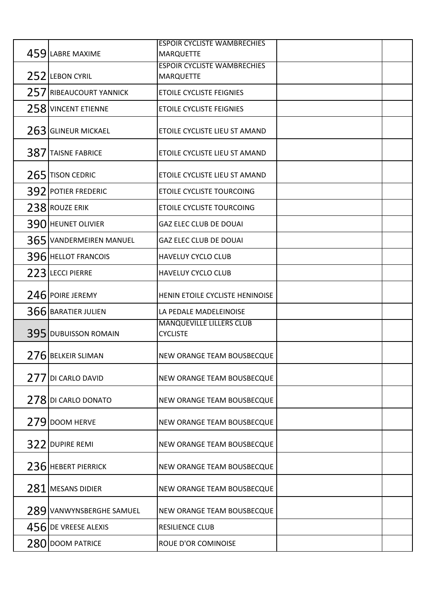|     |                          | <b>ESPOIR CYCLISTE WAMBRECHIES</b>          |  |
|-----|--------------------------|---------------------------------------------|--|
|     | 459 LABRE MAXIME         | <b>MARQUETTE</b>                            |  |
|     |                          | <b>ESPOIR CYCLISTE WAMBRECHIES</b>          |  |
|     | 252 LEBON CYRIL          | <b>MARQUETTE</b>                            |  |
|     | 257 RIBEAUCOURT YANNICK  | <b>ETOILE CYCLISTE FEIGNIES</b>             |  |
|     | 258 VINCENT ETIENNE      | ETOILE CYCLISTE FEIGNIES                    |  |
|     | 263 GLINEUR MICKAEL      | ETOILE CYCLISTE LIEU ST AMAND               |  |
|     | 387 TAISNE FABRICE       | ETOILE CYCLISTE LIEU ST AMAND               |  |
|     | 265 TISON CEDRIC         | ETOILE CYCLISTE LIEU ST AMAND               |  |
|     | 392 POTIER FREDERIC      | ETOILE CYCLISTE TOURCOING                   |  |
|     | 238 ROUZE ERIK           | ETOILE CYCLISTE TOURCOING                   |  |
|     | 390 HEUNET OLIVIER       | <b>GAZ ELEC CLUB DE DOUAI</b>               |  |
|     | 365 VANDERMEIREN MANUEL  | <b>GAZ ELEC CLUB DE DOUAI</b>               |  |
|     | 396 HELLOT FRANCOIS      | <b>HAVELUY CYCLO CLUB</b>                   |  |
|     | 223 LECCI PIERRE         | <b>HAVELUY CYCLO CLUB</b>                   |  |
|     | 246 POIRE JEREMY         | HENIN ETOILE CYCLISTE HENINOISE             |  |
|     | 366 BARATIER JULIEN      | LA PEDALE MADELEINOISE                      |  |
|     | 395 DUBUISSON ROMAIN     | MANQUEVILLE LILLERS CLUB<br><b>CYCLISTE</b> |  |
|     | 276 BELKEIR SLIMAN       | NEW ORANGE TEAM BOUSBECQUE                  |  |
| 277 | DI CARLO DAVID           | <b>NEW ORANGE TEAM BOUSBECQUE</b>           |  |
|     | 278 DI CARLO DONATO      | NEW ORANGE TEAM BOUSBECQUE                  |  |
|     | 279 DOOM HERVE           | <b>NEW ORANGE TEAM BOUSBECQUE</b>           |  |
| 322 | <b>DUPIRE REMI</b>       | <b>NEW ORANGE TEAM BOUSBECQUE</b>           |  |
|     | 236 HEBERT PIERRICK      | NEW ORANGE TEAM BOUSBECQUE                  |  |
| 281 | MESANS DIDIER            | <b>NEW ORANGE TEAM BOUSBECQUE</b>           |  |
|     | 289 VANWYNSBERGHE SAMUEL | <b>NEW ORANGE TEAM BOUSBECQUE</b>           |  |
|     | 456 DE VREESE ALEXIS     | RESILIENCE CLUB                             |  |
|     | 280 DOOM PATRICE         | ROUE D'OR COMINOISE                         |  |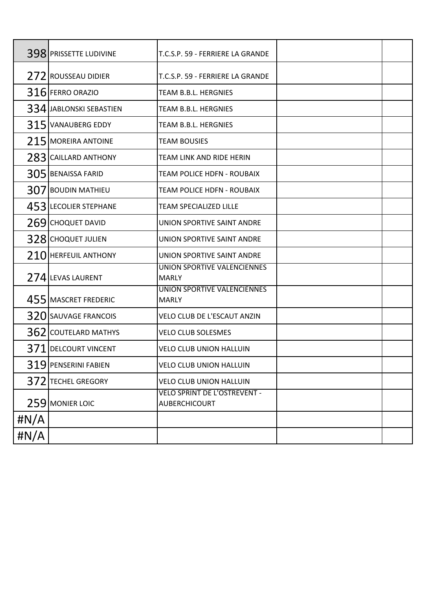|         | 398 PRISSETTE LUDIVINE   | T.C.S.P. 59 - FERRIERE LA GRANDE              |  |
|---------|--------------------------|-----------------------------------------------|--|
|         | 272 ROUSSEAU DIDIER      | T.C.S.P. 59 - FERRIERE LA GRANDE              |  |
|         | 316 FERRO ORAZIO         | TEAM B.B.L. HERGNIES                          |  |
|         | 334 JABLONSKI SEBASTIEN  | TEAM B.B.L. HERGNIES                          |  |
| 315     | <b>VANAUBERG EDDY</b>    | TEAM B.B.L. HERGNIES                          |  |
|         | 215 MOREIRA ANTOINE      | <b>TEAM BOUSIES</b>                           |  |
| 2831    | <b>CAILLARD ANTHONY</b>  | TEAM LINK AND RIDE HERIN                      |  |
|         | 305 BENAISSA FARID       | TEAM POLICE HDFN - ROUBAIX                    |  |
| 307     | <b>BOUDIN MATHIEU</b>    | TEAM POLICE HDFN - ROUBAIX                    |  |
| 4531    | <b>LECOLIER STEPHANE</b> | <b>TEAM SPECIALIZED LILLE</b>                 |  |
| 269     | <b>CHOQUET DAVID</b>     | UNION SPORTIVE SAINT ANDRE                    |  |
| 3281    | <b>CHOQUET JULIEN</b>    | UNION SPORTIVE SAINT ANDRE                    |  |
| 210     | <b>HERFEUIL ANTHONY</b>  | UNION SPORTIVE SAINT ANDRE                    |  |
|         | 274 LEVAS LAURENT        | UNION SPORTIVE VALENCIENNES<br><b>MARLY</b>   |  |
|         | 455 MASCRET FREDERIC     | UNION SPORTIVE VALENCIENNES<br><b>MARLY</b>   |  |
|         | 320 SAUVAGE FRANCOIS     | VELO CLUB DE L'ESCAUT ANZIN                   |  |
| 3621    | <b>COUTELARD MATHYS</b>  | <b>VELO CLUB SOLESMES</b>                     |  |
|         | 371 DELCOURT VINCENT     | VELO CLUB UNION HALLUIN                       |  |
|         | 319 PENSERINI FABIEN     | VELO CLUB UNION HALLUIN                       |  |
|         | 372 TECHEL GREGORY       | VELO CLUB UNION HALLUIN                       |  |
|         | 259 MONIER LOIC          | VELO SPRINT DE L'OSTREVENT -<br>AUBERCHICOURT |  |
| # $N/A$ |                          |                                               |  |
| # $N/A$ |                          |                                               |  |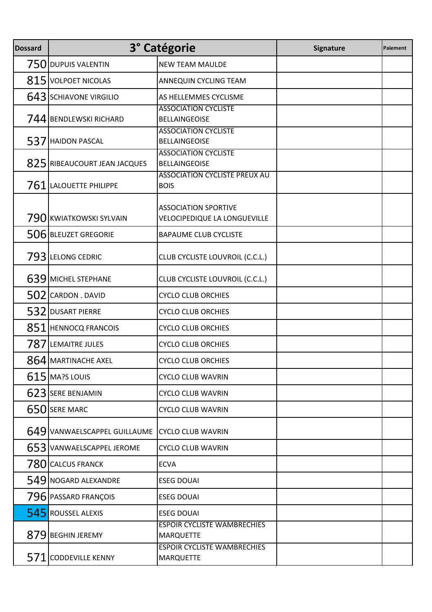| <b>Dossard</b> |                              | 3° Catégorie                                                                                | Signature | Paiement |
|----------------|------------------------------|---------------------------------------------------------------------------------------------|-----------|----------|
|                | 750 DUPUIS VALENTIN          | <b>NEW TEAM MAULDE</b>                                                                      |           |          |
|                | 815 VOLPOET NICOLAS          | ANNEQUIN CYCLING TEAM                                                                       |           |          |
|                | 643 SCHIAVONE VIRGILIO       | AS HELLEMMES CYCLISME                                                                       |           |          |
|                | 744 BENDLEWSKI RICHARD       | <b>ASSOCIATION CYCLISTE</b><br><b>BELLAINGEOISE</b>                                         |           |          |
| 537            | <b>HAIDON PASCAL</b>         | <b>ASSOCIATION CYCLISTE</b><br><b>BELLAINGEOISE</b>                                         |           |          |
|                | 825 RIBEAUCOURT JEAN JACQUES | <b>ASSOCIATION CYCLISTE</b><br><b>BELLAINGEOISE</b><br><b>ASSOCIATION CYCLISTE PREUX AU</b> |           |          |
|                | 761 LALOUETTE PHILIPPE       | <b>BOIS</b>                                                                                 |           |          |
|                | 790 KWIATKOWSKI SYLVAIN      | <b>ASSOCIATION SPORTIVE</b><br>VELOCIPEDIQUE LA LONGUEVILLE                                 |           |          |
|                | 506 BLEUZET GREGORIE         | <b>BAPAUME CLUB CYCLISTE</b>                                                                |           |          |
|                | 793 LELONG CEDRIC            | CLUB CYCLISTE LOUVROIL (C.C.L.)                                                             |           |          |
|                | 639 MICHEL STEPHANE          | CLUB CYCLISTE LOUVROIL (C.C.L.)                                                             |           |          |
|                | 502 CARDON . DAVID           | <b>CYCLO CLUB ORCHIES</b>                                                                   |           |          |
|                | 532 DUSART PIERRE            | <b>CYCLO CLUB ORCHIES</b>                                                                   |           |          |
|                | 851 HENNOCQ FRANCOIS         | <b>CYCLO CLUB ORCHIES</b>                                                                   |           |          |
|                | 787 LEMAITRE JULES           | <b>CYCLO CLUB ORCHIES</b>                                                                   |           |          |
|                | 864 MARTINACHE AXEL          | <b>CYCLO CLUB ORCHIES</b>                                                                   |           |          |
|                | $615$ MA?S LOUIS             | <b>CYCLO CLUB WAVRIN</b>                                                                    |           |          |
|                | 623 SERE BENJAMIN            | <b>CYCLO CLUB WAVRIN</b>                                                                    |           |          |
|                | 650 SERE MARC                | <b>CYCLO CLUB WAVRIN</b>                                                                    |           |          |
|                | 649 VANWAELSCAPPEL GUILLAUME | <b>CYCLO CLUB WAVRIN</b>                                                                    |           |          |
|                | 653 VANWAELSCAPPEL JEROME    | <b>CYCLO CLUB WAVRIN</b>                                                                    |           |          |
|                | 780 CALCUS FRANCK            | <b>ECVA</b>                                                                                 |           |          |
|                | 549 NOGARD ALEXANDRE         | <b>ESEG DOUAI</b>                                                                           |           |          |
|                | 796 PASSARD FRANÇOIS         | <b>ESEG DOUAI</b>                                                                           |           |          |
|                | 545 ROUSSEL ALEXIS           | <b>ESEG DOUAI</b>                                                                           |           |          |
|                | 879 BEGHIN JEREMY            | <b>ESPOIR CYCLISTE WAMBRECHIES</b><br><b>MARQUETTE</b>                                      |           |          |
|                | 571 CODDEVILLE KENNY         | <b>ESPOIR CYCLISTE WAMBRECHIES</b><br><b>MARQUETTE</b>                                      |           |          |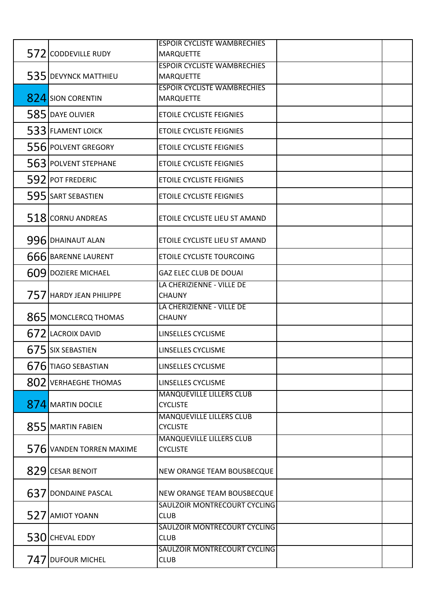|     |                          | <b>ESPOIR CYCLISTE WAMBRECHIES</b>                 |  |
|-----|--------------------------|----------------------------------------------------|--|
|     | 572 CODDEVILLE RUDY      | <b>MARQUETTE</b>                                   |  |
|     |                          | <b>ESPOIR CYCLISTE WAMBRECHIES</b>                 |  |
|     | 535 DEVYNCK MATTHIEU     | <b>MARQUETTE</b>                                   |  |
|     |                          | <b>ESPOIR CYCLISTE WAMBRECHIES</b>                 |  |
|     | 824 SION CORENTIN        | <b>MARQUETTE</b>                                   |  |
|     | 585 DAYE OLIVIER         | ETOILE CYCLISTE FEIGNIES                           |  |
|     | 533 FLAMENT LOICK        | ETOILE CYCLISTE FEIGNIES                           |  |
|     | 556 POLVENT GREGORY      | ETOILE CYCLISTE FEIGNIES                           |  |
|     | 563 POLVENT STEPHANE     | <b>ETOILE CYCLISTE FEIGNIES</b>                    |  |
|     | 592 POT FREDERIC         | <b>ETOILE CYCLISTE FEIGNIES</b>                    |  |
|     | 595 SART SEBASTIEN       | <b>ETOILE CYCLISTE FEIGNIES</b>                    |  |
|     | 518 CORNU ANDREAS        | ETOILE CYCLISTE LIEU ST AMAND                      |  |
|     | 996 DHAINAUT ALAN        | ETOILE CYCLISTE LIEU ST AMAND                      |  |
|     | 666 BARENNE LAURENT      | ETOILE CYCLISTE TOURCOING                          |  |
|     | 609 DOZIERE MICHAEL      | <b>GAZ ELEC CLUB DE DOUAI</b>                      |  |
|     | 757 HARDY JEAN PHILIPPE  | LA CHERIZIENNE - VILLE DE<br><b>CHAUNY</b>         |  |
|     | 865 MONCLERCQ THOMAS     | LA CHERIZIENNE - VILLE DE<br><b>CHAUNY</b>         |  |
|     | 672 LACROIX DAVID        | LINSELLES CYCLISME                                 |  |
|     | 675 SIX SEBASTIEN        | LINSELLES CYCLISME                                 |  |
|     | 676 TIAGO SEBASTIAN      | LINSELLES CYCLISME                                 |  |
|     | 802 VERHAEGHE THOMAS     | LINSELLES CYCLISME                                 |  |
|     | 874 MARTIN DOCILE        | MANQUEVILLE LILLERS CLUB<br><b>CYCLISTE</b>        |  |
|     | 855 MARTIN FABIEN        | <b>MANQUEVILLE LILLERS CLUB</b><br><b>CYCLISTE</b> |  |
|     | 576 VANDEN TORREN MAXIME | <b>MANQUEVILLE LILLERS CLUB</b><br><b>CYCLISTE</b> |  |
|     | 829 CESAR BENOIT         | NEW ORANGE TEAM BOUSBECQUE                         |  |
| 637 | <b>DONDAINE PASCAL</b>   | NEW ORANGE TEAM BOUSBECQUE                         |  |
|     | 527 AMIOT YOANN          | SAULZOIR MONTRECOURT CYCLING<br><b>CLUB</b>        |  |
|     | 530 CHEVAL EDDY          | SAULZOIR MONTRECOURT CYCLING<br><b>CLUB</b>        |  |
|     |                          | SAULZOIR MONTRECOURT CYCLING                       |  |
|     | 747 DUFOUR MICHEL        | <b>CLUB</b>                                        |  |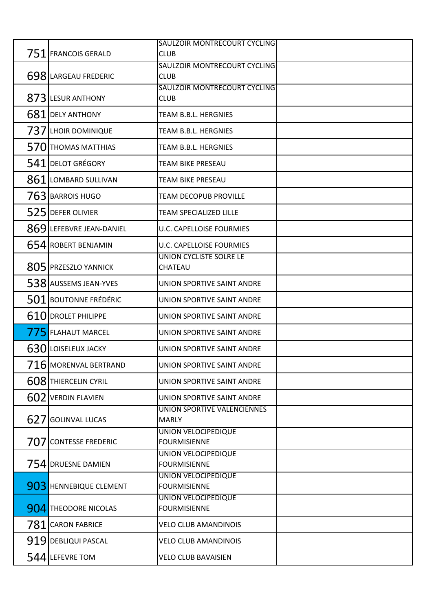|      |                          | SAULZOIR MONTRECOURT CYCLING                |  |
|------|--------------------------|---------------------------------------------|--|
| 7511 | <b>FRANCOIS GERALD</b>   | <b>CLUB</b>                                 |  |
|      |                          | SAULZOIR MONTRECOURT CYCLING                |  |
|      | 698 LARGEAU FREDERIC     | <b>CLUB</b>                                 |  |
|      |                          | SAULZOIR MONTRECOURT CYCLING                |  |
|      | 873 LESUR ANTHONY        | <b>CLUB</b>                                 |  |
|      | 681 DELY ANTHONY         | TEAM B.B.L. HERGNIES                        |  |
|      | 737 LHOIR DOMINIQUE      | TEAM B.B.L. HERGNIES                        |  |
|      | 570 THOMAS MATTHIAS      | TEAM B.B.L. HERGNIES                        |  |
|      | 541 DELOT GRÉGORY        | TEAM BIKE PRESEAU                           |  |
| 861  | LOMBARD SULLIVAN         | <b>TEAM BIKE PRESEAU</b>                    |  |
|      | 763 BARROIS HUGO         | TEAM DECOPUB PROVILLE                       |  |
|      | 525 DEFER OLIVIER        | <b>TEAM SPECIALIZED LILLE</b>               |  |
|      | 869 LEFEBVRE JEAN-DANIEL | U.C. CAPELLOISE FOURMIES                    |  |
|      | 654 ROBERT BENJAMIN      | U.C. CAPELLOISE FOURMIES                    |  |
|      | 805 PRZESZLO YANNICK     | UNION CYCLISTE SOLRE LE<br>CHATEAU          |  |
|      | 538 AUSSEMS JEAN-YVES    | UNION SPORTIVE SAINT ANDRE                  |  |
|      | 501 BOUTONNE FRÉDÉRIC    | UNION SPORTIVE SAINT ANDRE                  |  |
| 610  | <b>DROLET PHILIPPE</b>   | UNION SPORTIVE SAINT ANDRE                  |  |
|      | 775 FLAHAUT MARCEL       | UNION SPORTIVE SAINT ANDRE                  |  |
|      | 630 LOISELEUX JACKY      | UNION SPORTIVE SAINT ANDRE                  |  |
|      | 716 MORENVAL BERTRAND    | UNION SPORTIVE SAINT ANDRE                  |  |
|      | 608 THIERCELIN CYRIL     | UNION SPORTIVE SAINT ANDRE                  |  |
|      | 602 VERDIN FLAVIEN       | UNION SPORTIVE SAINT ANDRE                  |  |
|      | 627 GOLINVAL LUCAS       | UNION SPORTIVE VALENCIENNES<br><b>MARLY</b> |  |
|      |                          | UNION VELOCIPEDIQUE                         |  |
| 7071 | <b>CONTESSE FREDERIC</b> | <b>FOURMISIENNE</b>                         |  |
|      | 754 DRUESNE DAMIEN       | UNION VELOCIPEDIQUE<br><b>FOURMISIENNE</b>  |  |
|      |                          | UNION VELOCIPEDIQUE                         |  |
|      | 903 HENNEBIQUE CLEMENT   | <b>FOURMISIENNE</b>                         |  |
|      | 904 THEODORE NICOLAS     | UNION VELOCIPEDIQUE<br><b>FOURMISIENNE</b>  |  |
|      | 781 CARON FABRICE        | <b>VELO CLUB AMANDINOIS</b>                 |  |
|      | 919 DEBLIQUI PASCAL      | <b>VELO CLUB AMANDINOIS</b>                 |  |
|      | 544 LEFEVRE TOM          | VELO CLUB BAVAISIEN                         |  |
|      |                          |                                             |  |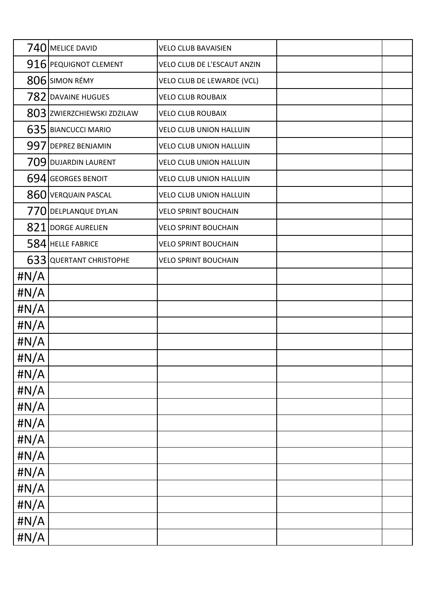|              | 740 MELICE DAVID           | <b>VELO CLUB BAVAISIEN</b>     |  |
|--------------|----------------------------|--------------------------------|--|
|              | 916 PEQUIGNOT CLEMENT      | VELO CLUB DE L'ESCAUT ANZIN    |  |
|              | 806 SIMON RÉMY             | VELO CLUB DE LEWARDE (VCL)     |  |
|              | 782 DAVAINE HUGUES         | <b>VELO CLUB ROUBAIX</b>       |  |
|              | 803 ZWIERZCHIEWSKI ZDZILAW | <b>VELO CLUB ROUBAIX</b>       |  |
|              | 635 BIANCUCCI MARIO        | VELO CLUB UNION HALLUIN        |  |
|              | 997 DEPREZ BENJAMIN        | VELO CLUB UNION HALLUIN        |  |
|              | 709 DUJARDIN LAURENT       | VELO CLUB UNION HALLUIN        |  |
|              | 694 GEORGES BENOIT         | VELO CLUB UNION HALLUIN        |  |
|              | 860 VERQUAIN PASCAL        | <b>VELO CLUB UNION HALLUIN</b> |  |
|              | 770 DELPLANQUE DYLAN       | <b>VELO SPRINT BOUCHAIN</b>    |  |
| 821          | DORGE AURELIEN             | <b>VELO SPRINT BOUCHAIN</b>    |  |
|              | 584 HELLE FABRICE          | <b>VELO SPRINT BOUCHAIN</b>    |  |
|              | 633 QUERTANT CHRISTOPHE    | <b>VELO SPRINT BOUCHAIN</b>    |  |
| #N/A         |                            |                                |  |
| # $N/A$      |                            |                                |  |
| $\sharp N/A$ |                            |                                |  |
| # $N/A$      |                            |                                |  |
| # $N/A$      |                            |                                |  |
| $\sharp N/A$ |                            |                                |  |
| #N/A         |                            |                                |  |
| $\sharp N/A$ |                            |                                |  |
| #N/A         |                            |                                |  |
| #N/A         |                            |                                |  |
| #N/A         |                            |                                |  |
| #N/A         |                            |                                |  |
| #N/A         |                            |                                |  |
| #N/A         |                            |                                |  |
| #N/A         |                            |                                |  |
| #N/A         |                            |                                |  |
| #N/A         |                            |                                |  |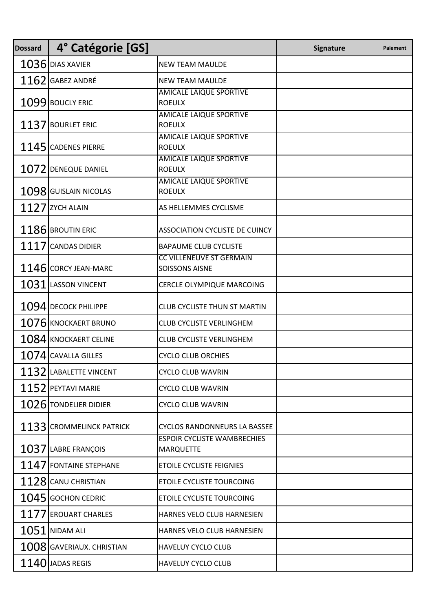| <b>Dossard</b> | 4° Catégorie [GS]           |                                                                            | <b>Signature</b> | Paiement |
|----------------|-----------------------------|----------------------------------------------------------------------------|------------------|----------|
|                | $1036$ DIAS XAVIER          | <b>NEW TEAM MAULDE</b>                                                     |                  |          |
|                | $1162$ GABEZ ANDRÉ          | <b>NEW TEAM MAULDE</b>                                                     |                  |          |
|                | 1099 BOUCLY ERIC            | AMICALE LAIQUE SPORTIVE<br><b>ROEULX</b>                                   |                  |          |
|                | 1137 BOURLET ERIC           | <b>AMICALE LAIQUE SPORTIVE</b><br><b>ROEULX</b>                            |                  |          |
|                | 1145 CADENES PIERRE         | <b>AMICALE LAIQUE SPORTIVE</b><br><b>ROEULX</b><br>AMICALE LAIQUE SPORTIVE |                  |          |
|                | 1072 DENEQUE DANIEL         | <b>ROEULX</b><br><b>AMICALE LAIQUE SPORTIVE</b>                            |                  |          |
|                | 1098 GUISLAIN NICOLAS       | <b>ROEULX</b>                                                              |                  |          |
|                | $1127$ ZYCH ALAIN           | AS HELLEMMES CYCLISME                                                      |                  |          |
|                | 1186 BROUTIN ERIC           | <b>ASSOCIATION CYCLISTE DE CUINCY</b>                                      |                  |          |
| 1117           | <b>CANDAS DIDIER</b>        | <b>BAPAUME CLUB CYCLISTE</b>                                               |                  |          |
|                | 1146 CORCY JEAN-MARC        | <b>CC VILLENEUVE ST GERMAIN</b><br><b>SOISSONS AISNE</b>                   |                  |          |
| 1031           | <b>LASSON VINCENT</b>       | CERCLE OLYMPIQUE MARCOING                                                  |                  |          |
|                | 1094 DECOCK PHILIPPE        | <b>CLUB CYCLISTE THUN ST MARTIN</b>                                        |                  |          |
|                | $1076$ KNOCKAERT BRUNO      | CLUB CYCLISTE VERLINGHEM                                                   |                  |          |
|                | $1084$ KNOCKAERT CELINE     | <b>CLUB CYCLISTE VERLINGHEM</b>                                            |                  |          |
|                | $1074$ CAVALLA GILLES       | <b>CYCLO CLUB ORCHIES</b>                                                  |                  |          |
|                | 1132 LABALETTE VINCENT      | <b>CYCLO CLUB WAVRIN</b>                                                   |                  |          |
|                | $1152$ PEYTAVI MARIE        | <b>CYCLO CLUB WAVRIN</b>                                                   |                  |          |
|                | 1026 TONDELIER DIDIER       | <b>CYCLO CLUB WAVRIN</b>                                                   |                  |          |
|                | 1133 CROMMELINCK PATRICK    | <b>CYCLOS RANDONNEURS LA BASSEE</b>                                        |                  |          |
|                | 1037 LABRE FRANÇOIS         | <b>ESPOIR CYCLISTE WAMBRECHIES</b><br><b>MARQUETTE</b>                     |                  |          |
|                | 1147 FONTAINE STEPHANE      | <b>ETOILE CYCLISTE FEIGNIES</b>                                            |                  |          |
|                | 1128 CANU CHRISTIAN         | <b>ETOILE CYCLISTE TOURCOING</b>                                           |                  |          |
|                | 1045 GOCHON CEDRIC          | <b>ETOILE CYCLISTE TOURCOING</b>                                           |                  |          |
|                | 1177 EROUART CHARLES        | HARNES VELO CLUB HARNESIEN                                                 |                  |          |
|                | $1051$ NIDAM ALI            | HARNES VELO CLUB HARNESIEN                                                 |                  |          |
|                | $1008$ GAVERIAUX. CHRISTIAN | <b>HAVELUY CYCLO CLUB</b>                                                  |                  |          |
|                | $1140$ JADAS REGIS          | <b>HAVELUY CYCLO CLUB</b>                                                  |                  |          |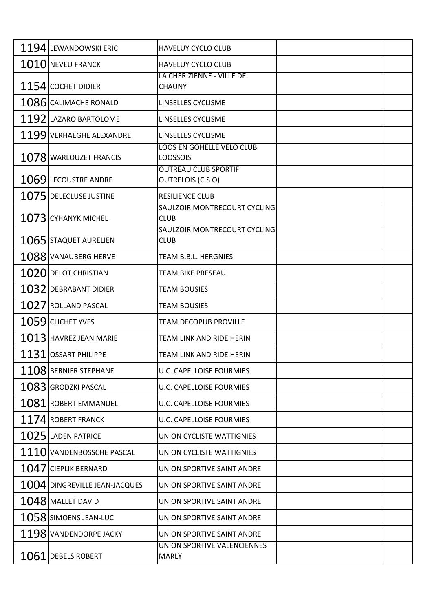|      | 1194 LEWANDOWSKI ERIC         | <b>HAVELUY CYCLO CLUB</b>                               |  |
|------|-------------------------------|---------------------------------------------------------|--|
|      | 1010 NEVEU FRANCK             | HAVELUY CYCLO CLUB                                      |  |
|      | 1154 COCHET DIDIER            | LA CHERIZIENNE - VILLE DE<br><b>CHAUNY</b>              |  |
|      | 1086 CALIMACHE RONALD         | LINSELLES CYCLISME                                      |  |
|      | 1192 LAZARO BARTOLOME         | LINSELLES CYCLISME                                      |  |
|      | 1199 VERHAEGHE ALEXANDRE      | LINSELLES CYCLISME                                      |  |
|      | 1078 WARLOUZET FRANCIS        | <b>LOOS EN GOHELLE VELO CLUB</b><br><b>LOOSSOIS</b>     |  |
|      | 1069 LECOUSTRE ANDRE          | <b>OUTREAU CLUB SPORTIF</b><br><b>OUTRELOIS (C.S.O)</b> |  |
|      | 1075 DELECLUSE JUSTINE        | <b>RESILIENCE CLUB</b>                                  |  |
|      | $1073$ CYHANYK MICHEL         | SAULZOIR MONTRECOURT CYCLING<br><b>CLUB</b>             |  |
|      | 1065 STAQUET AURELIEN         | SAULZOIR MONTRECOURT CYCLING<br><b>CLUB</b>             |  |
|      | 1088 VANAUBERG HERVE          | TEAM B.B.L. HERGNIES                                    |  |
|      | 1020 DELOT CHRISTIAN          | TEAM BIKE PRESEAU                                       |  |
|      | $1032$ DEBRABANT DIDIER       | <b>TEAM BOUSIES</b>                                     |  |
|      | $1027$ ROLLAND PASCAL         | <b>TEAM BOUSIES</b>                                     |  |
|      | $1059$ CLICHET YVES           | <b>TEAM DECOPUB PROVILLE</b>                            |  |
|      | 1013 HAVREZ JEAN MARIE        | TEAM LINK AND RIDE HERIN                                |  |
| 1131 | <b>OSSART PHILIPPE</b>        | TEAM LINK AND RIDE HERIN                                |  |
|      | 1108 BERNIER STEPHANE         | <b>U.C. CAPELLOISE FOURMIES</b>                         |  |
|      | 1083 GRODZKI PASCAL           | <b>U.C. CAPELLOISE FOURMIES</b>                         |  |
|      | 1081 ROBERT EMMANUEL          | <b>U.C. CAPELLOISE FOURMIES</b>                         |  |
|      | 1174 ROBERT FRANCK            | <b>U.C. CAPELLOISE FOURMIES</b>                         |  |
|      | $1025$ LADEN PATRICE          | UNION CYCLISTE WATTIGNIES                               |  |
|      | 1110 VANDENBOSSCHE PASCAL     | UNION CYCLISTE WATTIGNIES                               |  |
|      | $1047$ CIEPLIK BERNARD        | UNION SPORTIVE SAINT ANDRE                              |  |
|      | 1004 DINGREVILLE JEAN-JACQUES | UNION SPORTIVE SAINT ANDRE                              |  |
|      | $1048$ MALLET DAVID           | UNION SPORTIVE SAINT ANDRE                              |  |
|      | $1058$ SIMOENS JEAN-LUC       | UNION SPORTIVE SAINT ANDRE                              |  |
|      | 1198 VANDENDORPE JACKY        | UNION SPORTIVE SAINT ANDRE                              |  |
|      | 1061 DEBELS ROBERT            | UNION SPORTIVE VALENCIENNES<br><b>MARLY</b>             |  |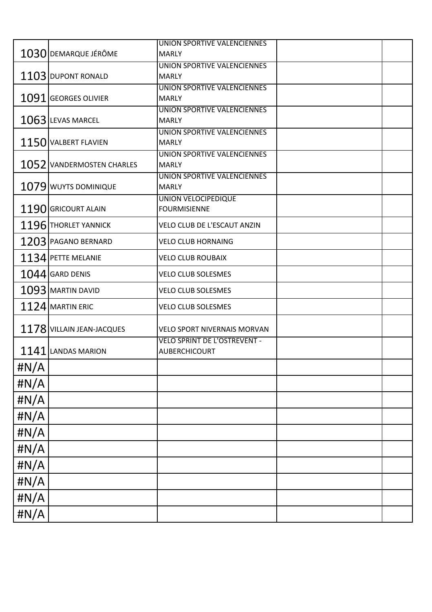|                           | UNION SPORTIVE VALENCIENNES                                                                                                                                         |                                                                                                                                                                                                                |
|---------------------------|---------------------------------------------------------------------------------------------------------------------------------------------------------------------|----------------------------------------------------------------------------------------------------------------------------------------------------------------------------------------------------------------|
| 1030 DEMARQUE JÉRÔME      | <b>MARLY</b>                                                                                                                                                        |                                                                                                                                                                                                                |
|                           | UNION SPORTIVE VALENCIENNES                                                                                                                                         |                                                                                                                                                                                                                |
|                           |                                                                                                                                                                     |                                                                                                                                                                                                                |
|                           |                                                                                                                                                                     |                                                                                                                                                                                                                |
|                           |                                                                                                                                                                     |                                                                                                                                                                                                                |
|                           |                                                                                                                                                                     |                                                                                                                                                                                                                |
|                           |                                                                                                                                                                     |                                                                                                                                                                                                                |
| 1150 VALBERT FLAVIEN      | <b>MARLY</b>                                                                                                                                                        |                                                                                                                                                                                                                |
|                           | UNION SPORTIVE VALENCIENNES                                                                                                                                         |                                                                                                                                                                                                                |
| 1052 VANDERMOSTEN CHARLES | <b>MARLY</b>                                                                                                                                                        |                                                                                                                                                                                                                |
|                           | UNION SPORTIVE VALENCIENNES                                                                                                                                         |                                                                                                                                                                                                                |
|                           |                                                                                                                                                                     |                                                                                                                                                                                                                |
|                           |                                                                                                                                                                     |                                                                                                                                                                                                                |
|                           |                                                                                                                                                                     |                                                                                                                                                                                                                |
|                           | VELO CLUB DE L'ESCAUT ANZIN                                                                                                                                         |                                                                                                                                                                                                                |
| 1203 PAGANO BERNARD       | <b>VELO CLUB HORNAING</b>                                                                                                                                           |                                                                                                                                                                                                                |
| 1134 PETTE MELANIE        | <b>VELO CLUB ROUBAIX</b>                                                                                                                                            |                                                                                                                                                                                                                |
| $1044$ GARD DENIS         | <b>VELO CLUB SOLESMES</b>                                                                                                                                           |                                                                                                                                                                                                                |
| 1093 MARTIN DAVID         | <b>VELO CLUB SOLESMES</b>                                                                                                                                           |                                                                                                                                                                                                                |
| $1124$ MARTIN ERIC        | <b>VELO CLUB SOLESMES</b>                                                                                                                                           |                                                                                                                                                                                                                |
|                           | <b>VELO SPORT NIVERNAIS MORVAN</b>                                                                                                                                  |                                                                                                                                                                                                                |
|                           | <b>VELO SPRINT DE L'OSTREVENT -</b>                                                                                                                                 |                                                                                                                                                                                                                |
| 1141 LANDAS MARION        | AUBERCHICOURT                                                                                                                                                       |                                                                                                                                                                                                                |
|                           |                                                                                                                                                                     |                                                                                                                                                                                                                |
|                           |                                                                                                                                                                     |                                                                                                                                                                                                                |
|                           |                                                                                                                                                                     |                                                                                                                                                                                                                |
|                           |                                                                                                                                                                     |                                                                                                                                                                                                                |
|                           |                                                                                                                                                                     |                                                                                                                                                                                                                |
|                           |                                                                                                                                                                     |                                                                                                                                                                                                                |
|                           |                                                                                                                                                                     |                                                                                                                                                                                                                |
|                           |                                                                                                                                                                     |                                                                                                                                                                                                                |
|                           |                                                                                                                                                                     |                                                                                                                                                                                                                |
|                           |                                                                                                                                                                     |                                                                                                                                                                                                                |
|                           | 1103 DUPONT RONALD<br>1091 GEORGES OLIVIER<br>1063 LEVAS MARCEL<br>1079 WUYTS DOMINIQUE<br>1190 GRICOURT ALAIN<br>1196 THORLET YANNICK<br>1178 VILLAIN JEAN-JACQUES | <b>MARLY</b><br>UNION SPORTIVE VALENCIENNES<br><b>MARLY</b><br>UNION SPORTIVE VALENCIENNES<br><b>MARLY</b><br>UNION SPORTIVE VALENCIENNES<br><b>MARLY</b><br><b>UNION VELOCIPEDIQUE</b><br><b>FOURMISIENNE</b> |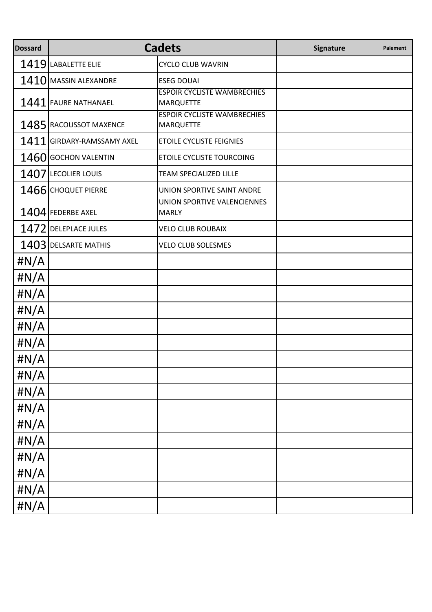| <b>Dossard</b> | <b>Cadets</b>              |                                                        | <b>Signature</b> | Paiement |
|----------------|----------------------------|--------------------------------------------------------|------------------|----------|
|                | 1419 LABALETTE ELIE        | <b>CYCLO CLUB WAVRIN</b>                               |                  |          |
|                | 1410 MASSIN ALEXANDRE      | <b>ESEG DOUAI</b>                                      |                  |          |
|                | 1441 FAURE NATHANAEL       | <b>ESPOIR CYCLISTE WAMBRECHIES</b><br><b>MARQUETTE</b> |                  |          |
|                | 1485 RACOUSSOT MAXENCE     | <b>ESPOIR CYCLISTE WAMBRECHIES</b><br><b>MARQUETTE</b> |                  |          |
|                | 1411 GIRDARY-RAMSSAMY AXEL | <b>ETOILE CYCLISTE FEIGNIES</b>                        |                  |          |
|                | 1460 GOCHON VALENTIN       | <b>ETOILE CYCLISTE TOURCOING</b>                       |                  |          |
|                | 1407 LECOLIER LOUIS        | <b>TEAM SPECIALIZED LILLE</b>                          |                  |          |
|                | 1466 CHOQUET PIERRE        | UNION SPORTIVE SAINT ANDRE                             |                  |          |
|                | 1404 FEDERBE AXEL          | UNION SPORTIVE VALENCIENNES<br><b>MARLY</b>            |                  |          |
|                | 1472 DELEPLACE JULES       | <b>VELO CLUB ROUBAIX</b>                               |                  |          |
|                | 1403 DELSARTE MATHIS       | <b>VELO CLUB SOLESMES</b>                              |                  |          |
| #N/A           |                            |                                                        |                  |          |
| # $N/A$        |                            |                                                        |                  |          |
| # $N/A$        |                            |                                                        |                  |          |
| # $N/A$        |                            |                                                        |                  |          |
| # $N/A$        |                            |                                                        |                  |          |
| # $N/A$        |                            |                                                        |                  |          |
| # $N/A$        |                            |                                                        |                  |          |
| # $N/A$        |                            |                                                        |                  |          |
| $\sharp N/A$   |                            |                                                        |                  |          |
| $\sharp N/A$   |                            |                                                        |                  |          |
| $\sharp N/A$   |                            |                                                        |                  |          |
| $\sharp N/A$   |                            |                                                        |                  |          |
| $\sharp N/A$   |                            |                                                        |                  |          |
| $\sharp N/A$   |                            |                                                        |                  |          |
| $\sharp N/A$   |                            |                                                        |                  |          |
| $\sharp N/A$   |                            |                                                        |                  |          |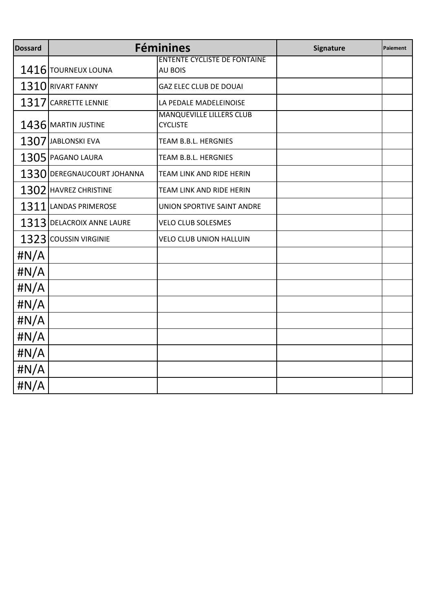| <b>Dossard</b> |                            | <b>Féminines</b>                                      | <b>Signature</b> | Paiement |
|----------------|----------------------------|-------------------------------------------------------|------------------|----------|
|                | 1416 TOURNEUX LOUNA        | <b>ENTENTE CYCLISTE DE FONTAINE</b><br><b>AU BOIS</b> |                  |          |
|                | 1310 RIVART FANNY          | <b>GAZ ELEC CLUB DE DOUAI</b>                         |                  |          |
| 1317           | <b>CARRETTE LENNIE</b>     | LA PEDALE MADELEINOISE                                |                  |          |
|                | 1436 MARTIN JUSTINE        | <b>MANQUEVILLE LILLERS CLUB</b><br><b>CYCLISTE</b>    |                  |          |
|                | 1307 JABLONSKI EVA         | TEAM B.B.L. HERGNIES                                  |                  |          |
|                | 1305 PAGANO LAURA          | TEAM B.B.L. HERGNIES                                  |                  |          |
|                | 1330 DEREGNAUCOURT JOHANNA | TEAM LINK AND RIDE HERIN                              |                  |          |
|                | 1302 HAVREZ CHRISTINE      | TEAM LINK AND RIDE HERIN                              |                  |          |
|                | 1311 LANDAS PRIMEROSE      | UNION SPORTIVE SAINT ANDRE                            |                  |          |
|                | 1313 DELACROIX ANNE LAURE  | <b>VELO CLUB SOLESMES</b>                             |                  |          |
|                | 1323 COUSSIN VIRGINIE      | <b>VELO CLUB UNION HALLUIN</b>                        |                  |          |
| # $N/A$        |                            |                                                       |                  |          |
| # $N/A$        |                            |                                                       |                  |          |
| # $N/A$        |                            |                                                       |                  |          |
| # $N/A$        |                            |                                                       |                  |          |
| # $N/A$        |                            |                                                       |                  |          |
| # $N/A$        |                            |                                                       |                  |          |
| # $N/A$        |                            |                                                       |                  |          |
| # $N/A$        |                            |                                                       |                  |          |
| H N/A          |                            |                                                       |                  |          |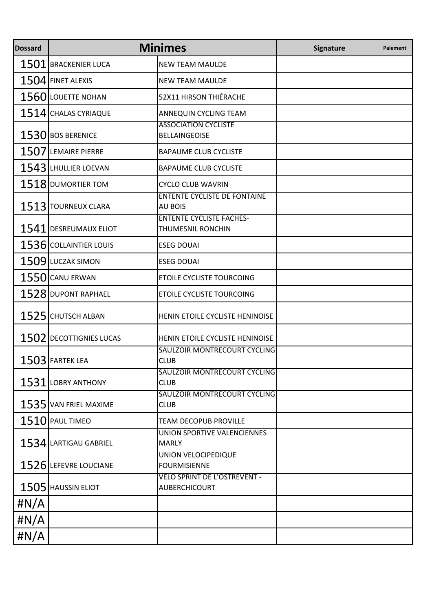| <b>Dossard</b> | <b>Minimes</b>          |                                                       | Signature | Paiement |
|----------------|-------------------------|-------------------------------------------------------|-----------|----------|
|                | 1501 BRACKENIER LUCA    | <b>NEW TEAM MAULDE</b>                                |           |          |
|                | $1504$ FINET ALEXIS     | <b>NEW TEAM MAULDE</b>                                |           |          |
|                | 1560 LOUETTE NOHAN      | 52X11 HIRSON THIÉRACHE                                |           |          |
|                | 1514 CHALAS CYRIAQUE    | ANNEQUIN CYCLING TEAM                                 |           |          |
|                | 1530 BOS BERENICE       | <b>ASSOCIATION CYCLISTE</b><br><b>BELLAINGEOISE</b>   |           |          |
| 1507           | <b>LEMAIRE PIERRE</b>   | <b>BAPAUME CLUB CYCLISTE</b>                          |           |          |
|                | 1543 LHULLIER LOEVAN    | <b>BAPAUME CLUB CYCLISTE</b>                          |           |          |
|                | 1518 DUMORTIER TOM      | <b>CYCLO CLUB WAVRIN</b>                              |           |          |
|                | 1513 TOURNEUX CLARA     | <b>ENTENTE CYCLISTE DE FONTAINE</b><br><b>AU BOIS</b> |           |          |
|                | 1541 DESREUMAUX ELIOT   | <b>ENTENTE CYCLISTE FACHES-</b><br>THUMESNIL RONCHIN  |           |          |
|                | 1536 COLLAINTIER LOUIS  | <b>ESEG DOUAI</b>                                     |           |          |
|                | 1509 LUCZAK SIMON       | <b>ESEG DOUAI</b>                                     |           |          |
|                | 1550 CANU ERWAN         | ETOILE CYCLISTE TOURCOING                             |           |          |
|                | 1528 DUPONT RAPHAEL     | <b>ETOILE CYCLISTE TOURCOING</b>                      |           |          |
|                | 1525 CHUTSCH ALBAN      | HENIN ETOILE CYCLISTE HENINOISE                       |           |          |
|                | 1502 DECOTTIGNIES LUCAS | HENIN ETOILE CYCLISTE HENINOISE                       |           |          |
|                | 1503 FARTEK LEA         | SAULZOIR MONTRECOURT CYCLING<br><b>CLUB</b>           |           |          |
| 1531           | <b>LOBRY ANTHONY</b>    | SAULZOIR MONTRECOURT CYCLING<br><b>CLUB</b>           |           |          |
|                | 1535 VAN FRIEL MAXIME   | SAULZOIR MONTRECOURT CYCLING<br><b>CLUB</b>           |           |          |
|                | $1510$ PAUL TIMEO       | <b>TEAM DECOPUB PROVILLE</b>                          |           |          |
|                | 1534 LARTIGAU GABRIEL   | UNION SPORTIVE VALENCIENNES<br><b>MARLY</b>           |           |          |
|                | 1526 LEFEVRE LOUCIANE   | <b>UNION VELOCIPEDIQUE</b><br><b>FOURMISIENNE</b>     |           |          |
|                | 1505 HAUSSIN ELIOT      | <b>VELO SPRINT DE L'OSTREVENT -</b><br>AUBERCHICOURT  |           |          |
| # $N/A$        |                         |                                                       |           |          |
| # $N/A$        |                         |                                                       |           |          |
| #N/A           |                         |                                                       |           |          |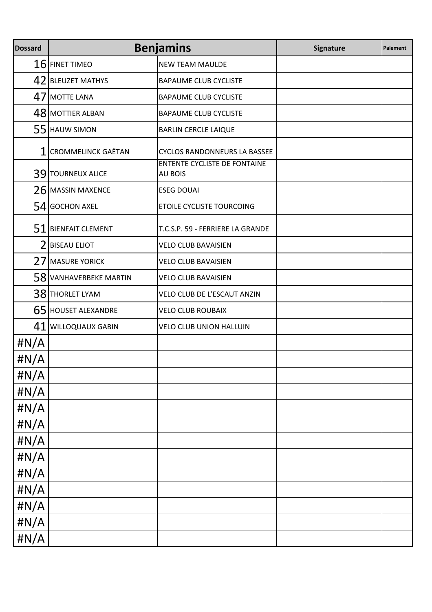| <b>Dossard</b> | <b>Benjamins</b>          |                                                       | Signature | Paiement |
|----------------|---------------------------|-------------------------------------------------------|-----------|----------|
|                | $16$ FINET TIMEO          | <b>NEW TEAM MAULDE</b>                                |           |          |
|                | 42 BLEUZET MATHYS         | <b>BAPAUME CLUB CYCLISTE</b>                          |           |          |
|                | 47 MOTTE LANA             | <b>BAPAUME CLUB CYCLISTE</b>                          |           |          |
|                | 48 MOTTIER ALBAN          | <b>BAPAUME CLUB CYCLISTE</b>                          |           |          |
|                | 55 HAUW SIMON             | <b>BARLIN CERCLE LAIQUE</b>                           |           |          |
| 1              | <b>CROMMELINCK GAËTAN</b> | <b>CYCLOS RANDONNEURS LA BASSEE</b>                   |           |          |
|                | 39 TOURNEUX ALICE         | <b>ENTENTE CYCLISTE DE FONTAINE</b><br><b>AU BOIS</b> |           |          |
|                | 26 MASSIN MAXENCE         | <b>ESEG DOUAI</b>                                     |           |          |
|                | 54 GOCHON AXEL            | ETOILE CYCLISTE TOURCOING                             |           |          |
|                | $51$ BIENFAIT CLEMENT     | T.C.S.P. 59 - FERRIERE LA GRANDE                      |           |          |
| 2              | <b>BISEAU ELIOT</b>       | <b>VELO CLUB BAVAISIEN</b>                            |           |          |
| 27             | <b>MASURE YORICK</b>      | <b>VELO CLUB BAVAISIEN</b>                            |           |          |
|                | 58 VANHAVERBEKE MARTIN    | <b>VELO CLUB BAVAISIEN</b>                            |           |          |
|                | 38 THORLET LYAM           | VELO CLUB DE L'ESCAUT ANZIN                           |           |          |
|                | 65 HOUSET ALEXANDRE       | <b>VELO CLUB ROUBAIX</b>                              |           |          |
| 41             | <b>WILLOQUAUX GABIN</b>   | <b>VELO CLUB UNION HALLUIN</b>                        |           |          |
| #N/A           |                           |                                                       |           |          |
| # $N/A$        |                           |                                                       |           |          |
| #N/A           |                           |                                                       |           |          |
| #N/A           |                           |                                                       |           |          |
| #N/A           |                           |                                                       |           |          |
| H N/A          |                           |                                                       |           |          |
| #N/A           |                           |                                                       |           |          |
| #N/A           |                           |                                                       |           |          |
| #N/A           |                           |                                                       |           |          |
| H N/A          |                           |                                                       |           |          |
| #N/A           |                           |                                                       |           |          |
| $\sharp N/A$   |                           |                                                       |           |          |
| #N/A           |                           |                                                       |           |          |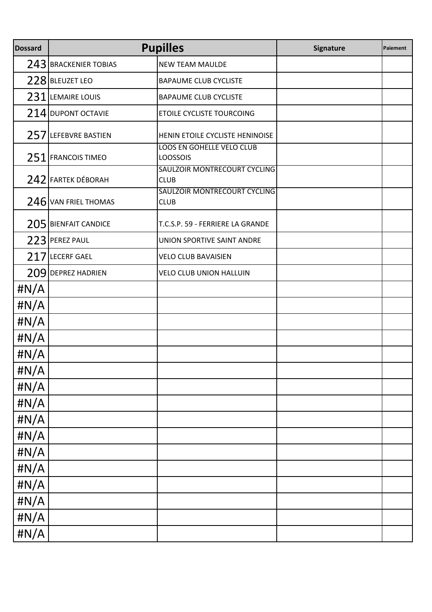| <b>Dossard</b> | <b>Pupilles</b>         |                                              | Signature | Paiement |
|----------------|-------------------------|----------------------------------------------|-----------|----------|
|                | 243 BRACKENIER TOBIAS   | <b>NEW TEAM MAULDE</b>                       |           |          |
|                | 228 BLEUZET LEO         | <b>BAPAUME CLUB CYCLISTE</b>                 |           |          |
| 231            | <b>LEMAIRE LOUIS</b>    | <b>BAPAUME CLUB CYCLISTE</b>                 |           |          |
|                | 214 DUPONT OCTAVIE      | ETOILE CYCLISTE TOURCOING                    |           |          |
|                | 257 LEFEBVRE BASTIEN    | HENIN ETOILE CYCLISTE HENINOISE              |           |          |
|                | 251 FRANCOIS TIMEO      | LOOS EN GOHELLE VELO CLUB<br><b>LOOSSOIS</b> |           |          |
|                | 242 FARTEK DÉBORAH      | SAULZOIR MONTRECOURT CYCLING<br><b>CLUB</b>  |           |          |
|                | 246 VAN FRIEL THOMAS    | SAULZOIR MONTRECOURT CYCLING<br><b>CLUB</b>  |           |          |
| 205            | <b>BIENFAIT CANDICE</b> | T.C.S.P. 59 - FERRIERE LA GRANDE             |           |          |
|                | 223 PEREZ PAUL          | UNION SPORTIVE SAINT ANDRE                   |           |          |
| 217            | <b>LECERF GAEL</b>      | <b>VELO CLUB BAVAISIEN</b>                   |           |          |
| 209            | <b>DEPREZ HADRIEN</b>   | VELO CLUB UNION HALLUIN                      |           |          |
| $\sharp N/A$   |                         |                                              |           |          |
| $\sharp N/A$   |                         |                                              |           |          |
| $\sharp N/A$   |                         |                                              |           |          |
| $\sharp N/A$   |                         |                                              |           |          |
| #N/A           |                         |                                              |           |          |
| #N/A           |                         |                                              |           |          |
| $\sharp N/A$   |                         |                                              |           |          |
| # $N/A$        |                         |                                              |           |          |
| #N/A           |                         |                                              |           |          |
| $\sharp N/A$   |                         |                                              |           |          |
| #N/A           |                         |                                              |           |          |
| #N/A           |                         |                                              |           |          |
| #N/A           |                         |                                              |           |          |
| #N/A           |                         |                                              |           |          |
| #N/A           |                         |                                              |           |          |
| $\sharp N/A$   |                         |                                              |           |          |